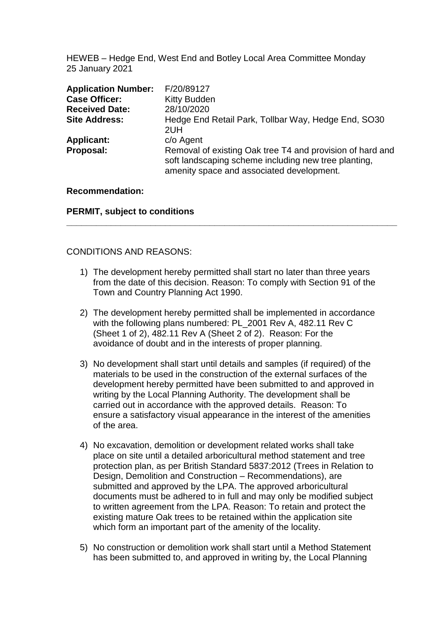HEWEB – Hedge End, West End and Botley Local Area Committee Monday 25 January 2021

| <b>Application Number:</b> | F/20/89127                                                                                                                                                     |
|----------------------------|----------------------------------------------------------------------------------------------------------------------------------------------------------------|
| <b>Case Officer:</b>       | <b>Kitty Budden</b>                                                                                                                                            |
| <b>Received Date:</b>      | 28/10/2020                                                                                                                                                     |
| <b>Site Address:</b>       | Hedge End Retail Park, Tollbar Way, Hedge End, SO30<br>2UH                                                                                                     |
| <b>Applicant:</b>          | c/o Agent                                                                                                                                                      |
| Proposal:                  | Removal of existing Oak tree T4 and provision of hard and<br>soft landscaping scheme including new tree planting,<br>amenity space and associated development. |

#### **Recommendation:**

**PERMIT, subject to conditions**

#### CONDITIONS AND REASONS:

1) The development hereby permitted shall start no later than three years from the date of this decision. Reason: To comply with Section 91 of the Town and Country Planning Act 1990.

**\_\_\_\_\_\_\_\_\_\_\_\_\_\_\_\_\_\_\_\_\_\_\_\_\_\_\_\_\_\_\_\_\_\_\_\_\_\_\_\_\_\_\_\_\_\_\_\_\_\_\_\_\_\_\_\_\_\_\_\_\_\_\_\_\_\_\_**

- 2) The development hereby permitted shall be implemented in accordance with the following plans numbered: PL 2001 Rev A, 482.11 Rev C (Sheet 1 of 2), 482.11 Rev A (Sheet 2 of 2). Reason: For the avoidance of doubt and in the interests of proper planning.
- 3) No development shall start until details and samples (if required) of the materials to be used in the construction of the external surfaces of the development hereby permitted have been submitted to and approved in writing by the Local Planning Authority. The development shall be carried out in accordance with the approved details. Reason: To ensure a satisfactory visual appearance in the interest of the amenities of the area.
- 4) No excavation, demolition or development related works shall take place on site until a detailed arboricultural method statement and tree protection plan, as per British Standard 5837:2012 (Trees in Relation to Design, Demolition and Construction – Recommendations), are submitted and approved by the LPA. The approved arboricultural documents must be adhered to in full and may only be modified subject to written agreement from the LPA. Reason: To retain and protect the existing mature Oak trees to be retained within the application site which form an important part of the amenity of the locality.
- 5) No construction or demolition work shall start until a Method Statement has been submitted to, and approved in writing by, the Local Planning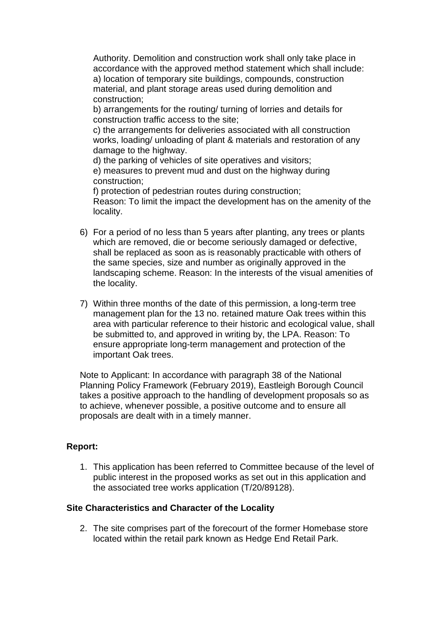Authority. Demolition and construction work shall only take place in accordance with the approved method statement which shall include: a) location of temporary site buildings, compounds, construction material, and plant storage areas used during demolition and construction;

b) arrangements for the routing/ turning of lorries and details for construction traffic access to the site;

c) the arrangements for deliveries associated with all construction works, loading/ unloading of plant & materials and restoration of any damage to the highway.

d) the parking of vehicles of site operatives and visitors; e) measures to prevent mud and dust on the highway during

construction;

f) protection of pedestrian routes during construction; Reason: To limit the impact the development has on the amenity of the locality.

- 6) For a period of no less than 5 years after planting, any trees or plants which are removed, die or become seriously damaged or defective, shall be replaced as soon as is reasonably practicable with others of the same species, size and number as originally approved in the landscaping scheme. Reason: In the interests of the visual amenities of the locality.
- 7) Within three months of the date of this permission, a long-term tree management plan for the 13 no. retained mature Oak trees within this area with particular reference to their historic and ecological value, shall be submitted to, and approved in writing by, the LPA. Reason: To ensure appropriate long-term management and protection of the important Oak trees.

Note to Applicant: In accordance with paragraph 38 of the National Planning Policy Framework (February 2019), Eastleigh Borough Council takes a positive approach to the handling of development proposals so as to achieve, whenever possible, a positive outcome and to ensure all proposals are dealt with in a timely manner.

# **Report:**

1. This application has been referred to Committee because of the level of public interest in the proposed works as set out in this application and the associated tree works application (T/20/89128).

# **Site Characteristics and Character of the Locality**

2. The site comprises part of the forecourt of the former Homebase store located within the retail park known as Hedge End Retail Park.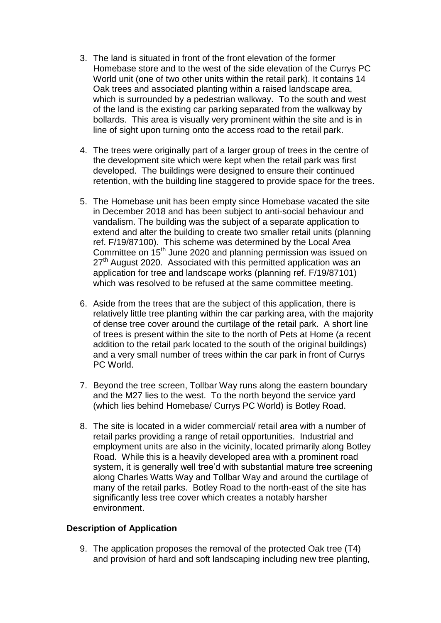- 3. The land is situated in front of the front elevation of the former Homebase store and to the west of the side elevation of the Currys PC World unit (one of two other units within the retail park). It contains 14 Oak trees and associated planting within a raised landscape area, which is surrounded by a pedestrian walkway. To the south and west of the land is the existing car parking separated from the walkway by bollards. This area is visually very prominent within the site and is in line of sight upon turning onto the access road to the retail park.
- 4. The trees were originally part of a larger group of trees in the centre of the development site which were kept when the retail park was first developed. The buildings were designed to ensure their continued retention, with the building line staggered to provide space for the trees.
- 5. The Homebase unit has been empty since Homebase vacated the site in December 2018 and has been subject to anti-social behaviour and vandalism. The building was the subject of a separate application to extend and alter the building to create two smaller retail units (planning ref. F/19/87100). This scheme was determined by the Local Area Committee on 15<sup>th</sup> June 2020 and planning permission was issued on 27<sup>th</sup> August 2020. Associated with this permitted application was an application for tree and landscape works (planning ref. F/19/87101) which was resolved to be refused at the same committee meeting.
- 6. Aside from the trees that are the subject of this application, there is relatively little tree planting within the car parking area, with the majority of dense tree cover around the curtilage of the retail park. A short line of trees is present within the site to the north of Pets at Home (a recent addition to the retail park located to the south of the original buildings) and a very small number of trees within the car park in front of Currys PC World.
- 7. Beyond the tree screen, Tollbar Way runs along the eastern boundary and the M27 lies to the west. To the north beyond the service yard (which lies behind Homebase/ Currys PC World) is Botley Road.
- 8. The site is located in a wider commercial/ retail area with a number of retail parks providing a range of retail opportunities. Industrial and employment units are also in the vicinity, located primarily along Botley Road. While this is a heavily developed area with a prominent road system, it is generally well tree'd with substantial mature tree screening along Charles Watts Way and Tollbar Way and around the curtilage of many of the retail parks. Botley Road to the north-east of the site has significantly less tree cover which creates a notably harsher environment.

## **Description of Application**

9. The application proposes the removal of the protected Oak tree (T4) and provision of hard and soft landscaping including new tree planting,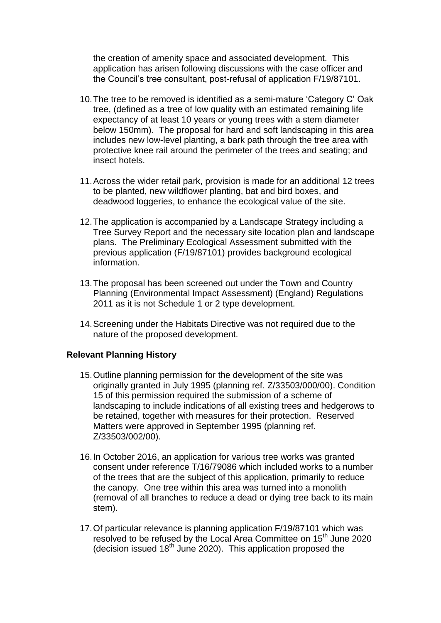the creation of amenity space and associated development. This application has arisen following discussions with the case officer and the Council's tree consultant, post-refusal of application F/19/87101.

- 10.The tree to be removed is identified as a semi-mature 'Category C' Oak tree, (defined as a tree of low quality with an estimated remaining life expectancy of at least 10 years or young trees with a stem diameter below 150mm). The proposal for hard and soft landscaping in this area includes new low-level planting, a bark path through the tree area with protective knee rail around the perimeter of the trees and seating; and insect hotels.
- 11.Across the wider retail park, provision is made for an additional 12 trees to be planted, new wildflower planting, bat and bird boxes, and deadwood loggeries, to enhance the ecological value of the site.
- 12.The application is accompanied by a Landscape Strategy including a Tree Survey Report and the necessary site location plan and landscape plans. The Preliminary Ecological Assessment submitted with the previous application (F/19/87101) provides background ecological information.
- 13.The proposal has been screened out under the Town and Country Planning (Environmental Impact Assessment) (England) Regulations 2011 as it is not Schedule 1 or 2 type development.
- 14.Screening under the Habitats Directive was not required due to the nature of the proposed development.

## **Relevant Planning History**

- 15.Outline planning permission for the development of the site was originally granted in July 1995 (planning ref. Z/33503/000/00). Condition 15 of this permission required the submission of a scheme of landscaping to include indications of all existing trees and hedgerows to be retained, together with measures for their protection. Reserved Matters were approved in September 1995 (planning ref. Z/33503/002/00).
- 16.In October 2016, an application for various tree works was granted consent under reference T/16/79086 which included works to a number of the trees that are the subject of this application, primarily to reduce the canopy. One tree within this area was turned into a monolith (removal of all branches to reduce a dead or dying tree back to its main stem).
- 17.Of particular relevance is planning application F/19/87101 which was resolved to be refused by the Local Area Committee on 15<sup>th</sup> June 2020 (decision issued 18th June 2020). This application proposed the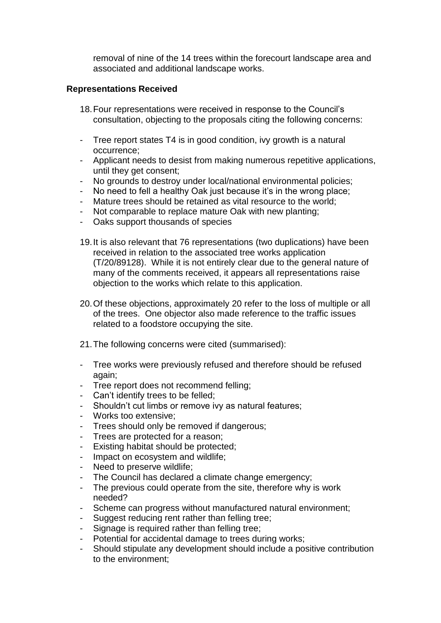removal of nine of the 14 trees within the forecourt landscape area and associated and additional landscape works.

#### **Representations Received**

- 18.Four representations were received in response to the Council's consultation, objecting to the proposals citing the following concerns:
- Tree report states T4 is in good condition, ivy growth is a natural occurrence;
- Applicant needs to desist from making numerous repetitive applications, until they get consent;
- No grounds to destroy under local/national environmental policies;
- No need to fell a healthy Oak just because it's in the wrong place;
- Mature trees should be retained as vital resource to the world;
- Not comparable to replace mature Oak with new planting;
- Oaks support thousands of species
- 19.It is also relevant that 76 representations (two duplications) have been received in relation to the associated tree works application (T/20/89128). While it is not entirely clear due to the general nature of many of the comments received, it appears all representations raise objection to the works which relate to this application.
- 20.Of these objections, approximately 20 refer to the loss of multiple or all of the trees. One objector also made reference to the traffic issues related to a foodstore occupying the site.
- 21.The following concerns were cited (summarised):
- Tree works were previously refused and therefore should be refused again;
- Tree report does not recommend felling;
- Can't identify trees to be felled;
- Shouldn't cut limbs or remove ivy as natural features;
- Works too extensive;
- Trees should only be removed if dangerous;
- Trees are protected for a reason;
- Existing habitat should be protected;
- Impact on ecosystem and wildlife;
- Need to preserve wildlife;
- The Council has declared a climate change emergency;
- The previous could operate from the site, therefore why is work needed?
- Scheme can progress without manufactured natural environment;
- Suggest reducing rent rather than felling tree;
- Signage is required rather than felling tree;
- Potential for accidental damage to trees during works;
- Should stipulate any development should include a positive contribution to the environment;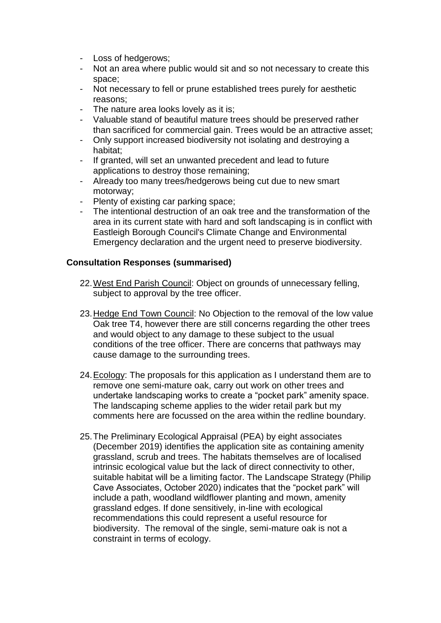- Loss of hedgerows;
- Not an area where public would sit and so not necessary to create this space;
- Not necessary to fell or prune established trees purely for aesthetic reasons;
- The nature area looks lovely as it is;
- Valuable stand of beautiful mature trees should be preserved rather than sacrificed for commercial gain. Trees would be an attractive asset;
- Only support increased biodiversity not isolating and destroying a habitat;
- If granted, will set an unwanted precedent and lead to future applications to destroy those remaining;
- Already too many trees/hedgerows being cut due to new smart motorway;
- Plenty of existing car parking space;
- The intentional destruction of an oak tree and the transformation of the area in its current state with hard and soft landscaping is in conflict with Eastleigh Borough Council's Climate Change and Environmental Emergency declaration and the urgent need to preserve biodiversity.

#### **Consultation Responses (summarised)**

- 22.West End Parish Council: Object on grounds of unnecessary felling, subject to approval by the tree officer.
- 23.Hedge End Town Council: No Objection to the removal of the low value Oak tree T4, however there are still concerns regarding the other trees and would object to any damage to these subject to the usual conditions of the tree officer. There are concerns that pathways may cause damage to the surrounding trees.
- 24.Ecology: The proposals for this application as I understand them are to remove one semi-mature oak, carry out work on other trees and undertake landscaping works to create a "pocket park" amenity space. The landscaping scheme applies to the wider retail park but my comments here are focussed on the area within the redline boundary.
- 25.The Preliminary Ecological Appraisal (PEA) by eight associates (December 2019) identifies the application site as containing amenity grassland, scrub and trees. The habitats themselves are of localised intrinsic ecological value but the lack of direct connectivity to other, suitable habitat will be a limiting factor. The Landscape Strategy (Philip Cave Associates, October 2020) indicates that the "pocket park" will include a path, woodland wildflower planting and mown, amenity grassland edges. If done sensitively, in-line with ecological recommendations this could represent a useful resource for biodiversity. The removal of the single, semi-mature oak is not a constraint in terms of ecology.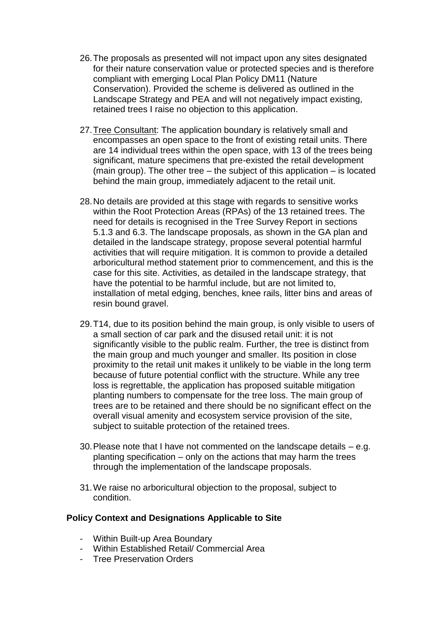- 26.The proposals as presented will not impact upon any sites designated for their nature conservation value or protected species and is therefore compliant with emerging Local Plan Policy DM11 (Nature Conservation). Provided the scheme is delivered as outlined in the Landscape Strategy and PEA and will not negatively impact existing, retained trees I raise no objection to this application.
- 27.Tree Consultant: The application boundary is relatively small and encompasses an open space to the front of existing retail units. There are 14 individual trees within the open space, with 13 of the trees being significant, mature specimens that pre-existed the retail development (main group). The other tree – the subject of this application – is located behind the main group, immediately adjacent to the retail unit.
- 28.No details are provided at this stage with regards to sensitive works within the Root Protection Areas (RPAs) of the 13 retained trees. The need for details is recognised in the Tree Survey Report in sections 5.1.3 and 6.3. The landscape proposals, as shown in the GA plan and detailed in the landscape strategy, propose several potential harmful activities that will require mitigation. It is common to provide a detailed arboricultural method statement prior to commencement, and this is the case for this site. Activities, as detailed in the landscape strategy, that have the potential to be harmful include, but are not limited to, installation of metal edging, benches, knee rails, litter bins and areas of resin bound gravel.
- 29.T14, due to its position behind the main group, is only visible to users of a small section of car park and the disused retail unit: it is not significantly visible to the public realm. Further, the tree is distinct from the main group and much younger and smaller. Its position in close proximity to the retail unit makes it unlikely to be viable in the long term because of future potential conflict with the structure. While any tree loss is regrettable, the application has proposed suitable mitigation planting numbers to compensate for the tree loss. The main group of trees are to be retained and there should be no significant effect on the overall visual amenity and ecosystem service provision of the site, subject to suitable protection of the retained trees.
- 30.Please note that I have not commented on the landscape details e.g. planting specification – only on the actions that may harm the trees through the implementation of the landscape proposals.
- 31.We raise no arboricultural objection to the proposal, subject to condition.

## **Policy Context and Designations Applicable to Site**

- Within Built-up Area Boundary
- Within Established Retail/ Commercial Area
- Tree Preservation Orders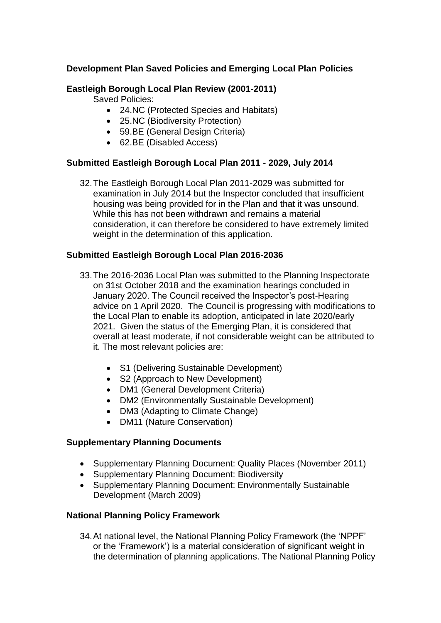## **Development Plan Saved Policies and Emerging Local Plan Policies**

## **Eastleigh Borough Local Plan Review (2001-2011)**

Saved Policies:

- 24.NC (Protected Species and Habitats)
- 25.NC (Biodiversity Protection)
- 59.BE (General Design Criteria)
- 62.BE (Disabled Access)

## **Submitted Eastleigh Borough Local Plan 2011 - 2029, July 2014**

32.The Eastleigh Borough Local Plan 2011-2029 was submitted for examination in July 2014 but the Inspector concluded that insufficient housing was being provided for in the Plan and that it was unsound. While this has not been withdrawn and remains a material consideration, it can therefore be considered to have extremely limited weight in the determination of this application.

## **Submitted Eastleigh Borough Local Plan 2016-2036**

- 33.The 2016-2036 Local Plan was submitted to the Planning Inspectorate on 31st October 2018 and the examination hearings concluded in January 2020. The Council received the Inspector's post-Hearing advice on 1 April 2020. The Council is progressing with modifications to the Local Plan to enable its adoption, anticipated in late 2020/early 2021. Given the status of the Emerging Plan, it is considered that overall at least moderate, if not considerable weight can be attributed to it. The most relevant policies are:
	- S1 (Delivering Sustainable Development)
	- S2 (Approach to New Development)
	- DM1 (General Development Criteria)
	- DM2 (Environmentally Sustainable Development)
	- DM3 (Adapting to Climate Change)
	- DM11 (Nature Conservation)

## **Supplementary Planning Documents**

- Supplementary Planning Document: Quality Places (November 2011)
- Supplementary Planning Document: Biodiversity
- Supplementary Planning Document: Environmentally Sustainable Development (March 2009)

## **National Planning Policy Framework**

34.At national level, the National Planning Policy Framework (the 'NPPF' or the 'Framework') is a material consideration of significant weight in the determination of planning applications. The National Planning Policy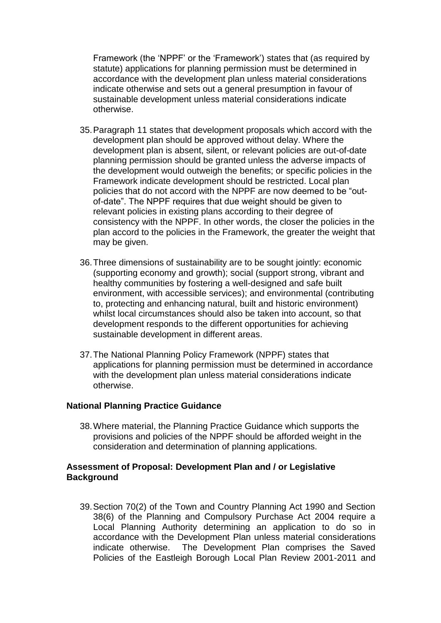Framework (the 'NPPF' or the 'Framework') states that (as required by statute) applications for planning permission must be determined in accordance with the development plan unless material considerations indicate otherwise and sets out a general presumption in favour of sustainable development unless material considerations indicate otherwise.

- 35.Paragraph 11 states that development proposals which accord with the development plan should be approved without delay. Where the development plan is absent, silent, or relevant policies are out-of-date planning permission should be granted unless the adverse impacts of the development would outweigh the benefits; or specific policies in the Framework indicate development should be restricted. Local plan policies that do not accord with the NPPF are now deemed to be "outof-date". The NPPF requires that due weight should be given to relevant policies in existing plans according to their degree of consistency with the NPPF. In other words, the closer the policies in the plan accord to the policies in the Framework, the greater the weight that may be given.
- 36.Three dimensions of sustainability are to be sought jointly: economic (supporting economy and growth); social (support strong, vibrant and healthy communities by fostering a well-designed and safe built environment, with accessible services); and environmental (contributing to, protecting and enhancing natural, built and historic environment) whilst local circumstances should also be taken into account, so that development responds to the different opportunities for achieving sustainable development in different areas.
- 37.The National Planning Policy Framework (NPPF) states that applications for planning permission must be determined in accordance with the development plan unless material considerations indicate otherwise.

## **National Planning Practice Guidance**

38.Where material, the Planning Practice Guidance which supports the provisions and policies of the NPPF should be afforded weight in the consideration and determination of planning applications.

## **Assessment of Proposal: Development Plan and / or Legislative Background**

39.Section 70(2) of the Town and Country Planning Act 1990 and Section 38(6) of the Planning and Compulsory Purchase Act 2004 require a Local Planning Authority determining an application to do so in accordance with the Development Plan unless material considerations indicate otherwise. The Development Plan comprises the Saved Policies of the Eastleigh Borough Local Plan Review 2001-2011 and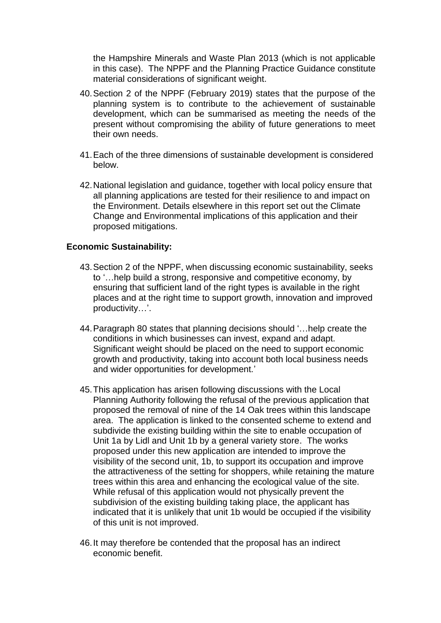the Hampshire Minerals and Waste Plan 2013 (which is not applicable in this case). The NPPF and the Planning Practice Guidance constitute material considerations of significant weight.

- 40.Section 2 of the NPPF (February 2019) states that the purpose of the planning system is to contribute to the achievement of sustainable development, which can be summarised as meeting the needs of the present without compromising the ability of future generations to meet their own needs.
- 41.Each of the three dimensions of sustainable development is considered below.
- 42.National legislation and guidance, together with local policy ensure that all planning applications are tested for their resilience to and impact on the Environment. Details elsewhere in this report set out the Climate Change and Environmental implications of this application and their proposed mitigations.

## **Economic Sustainability:**

- 43.Section 2 of the NPPF, when discussing economic sustainability, seeks to '…help build a strong, responsive and competitive economy, by ensuring that sufficient land of the right types is available in the right places and at the right time to support growth, innovation and improved productivity…'.
- 44.Paragraph 80 states that planning decisions should '…help create the conditions in which businesses can invest, expand and adapt. Significant weight should be placed on the need to support economic growth and productivity, taking into account both local business needs and wider opportunities for development.'
- 45.This application has arisen following discussions with the Local Planning Authority following the refusal of the previous application that proposed the removal of nine of the 14 Oak trees within this landscape area. The application is linked to the consented scheme to extend and subdivide the existing building within the site to enable occupation of Unit 1a by Lidl and Unit 1b by a general variety store. The works proposed under this new application are intended to improve the visibility of the second unit, 1b, to support its occupation and improve the attractiveness of the setting for shoppers, while retaining the mature trees within this area and enhancing the ecological value of the site. While refusal of this application would not physically prevent the subdivision of the existing building taking place, the applicant has indicated that it is unlikely that unit 1b would be occupied if the visibility of this unit is not improved.
- 46.It may therefore be contended that the proposal has an indirect economic benefit.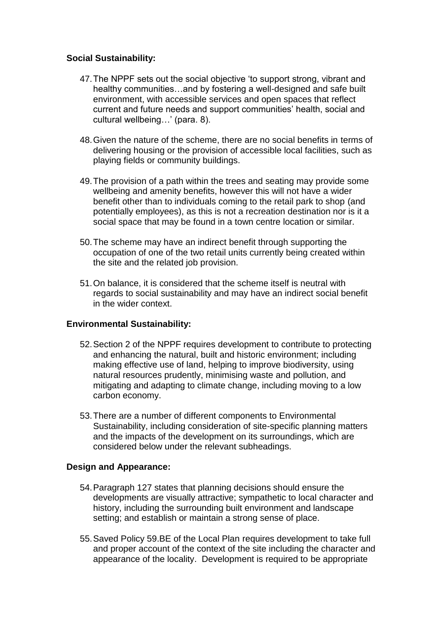## **Social Sustainability:**

- 47.The NPPF sets out the social objective 'to support strong, vibrant and healthy communities…and by fostering a well-designed and safe built environment, with accessible services and open spaces that reflect current and future needs and support communities' health, social and cultural wellbeing…' (para. 8).
- 48.Given the nature of the scheme, there are no social benefits in terms of delivering housing or the provision of accessible local facilities, such as playing fields or community buildings.
- 49.The provision of a path within the trees and seating may provide some wellbeing and amenity benefits, however this will not have a wider benefit other than to individuals coming to the retail park to shop (and potentially employees), as this is not a recreation destination nor is it a social space that may be found in a town centre location or similar.
- 50.The scheme may have an indirect benefit through supporting the occupation of one of the two retail units currently being created within the site and the related job provision.
- 51.On balance, it is considered that the scheme itself is neutral with regards to social sustainability and may have an indirect social benefit in the wider context.

## **Environmental Sustainability:**

- 52.Section 2 of the NPPF requires development to contribute to protecting and enhancing the natural, built and historic environment; including making effective use of land, helping to improve biodiversity, using natural resources prudently, minimising waste and pollution, and mitigating and adapting to climate change, including moving to a low carbon economy.
- 53.There are a number of different components to Environmental Sustainability, including consideration of site-specific planning matters and the impacts of the development on its surroundings, which are considered below under the relevant subheadings.

## **Design and Appearance:**

- 54.Paragraph 127 states that planning decisions should ensure the developments are visually attractive; sympathetic to local character and history, including the surrounding built environment and landscape setting; and establish or maintain a strong sense of place.
- 55.Saved Policy 59.BE of the Local Plan requires development to take full and proper account of the context of the site including the character and appearance of the locality. Development is required to be appropriate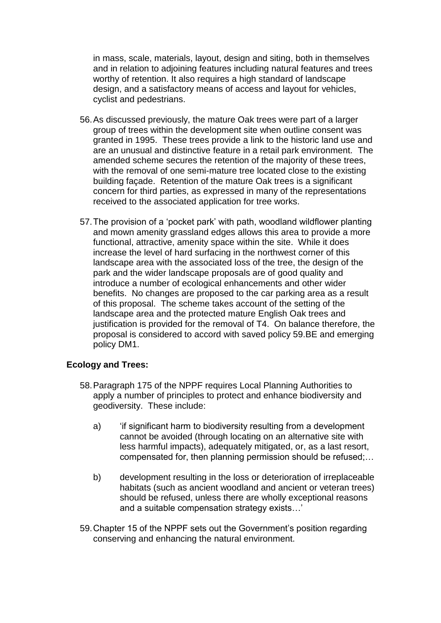in mass, scale, materials, layout, design and siting, both in themselves and in relation to adjoining features including natural features and trees worthy of retention. It also requires a high standard of landscape design, and a satisfactory means of access and layout for vehicles, cyclist and pedestrians.

- 56.As discussed previously, the mature Oak trees were part of a larger group of trees within the development site when outline consent was granted in 1995. These trees provide a link to the historic land use and are an unusual and distinctive feature in a retail park environment. The amended scheme secures the retention of the majority of these trees, with the removal of one semi-mature tree located close to the existing building façade. Retention of the mature Oak trees is a significant concern for third parties, as expressed in many of the representations received to the associated application for tree works.
- 57.The provision of a 'pocket park' with path, woodland wildflower planting and mown amenity grassland edges allows this area to provide a more functional, attractive, amenity space within the site. While it does increase the level of hard surfacing in the northwest corner of this landscape area with the associated loss of the tree, the design of the park and the wider landscape proposals are of good quality and introduce a number of ecological enhancements and other wider benefits. No changes are proposed to the car parking area as a result of this proposal. The scheme takes account of the setting of the landscape area and the protected mature English Oak trees and justification is provided for the removal of T4. On balance therefore, the proposal is considered to accord with saved policy 59.BE and emerging policy DM1.

#### **Ecology and Trees:**

- 58.Paragraph 175 of the NPPF requires Local Planning Authorities to apply a number of principles to protect and enhance biodiversity and geodiversity. These include:
	- a) 'if significant harm to biodiversity resulting from a development cannot be avoided (through locating on an alternative site with less harmful impacts), adequately mitigated, or, as a last resort, compensated for, then planning permission should be refused;…
	- b) development resulting in the loss or deterioration of irreplaceable habitats (such as ancient woodland and ancient or veteran trees) should be refused, unless there are wholly exceptional reasons and a suitable compensation strategy exists…'
- 59.Chapter 15 of the NPPF sets out the Government's position regarding conserving and enhancing the natural environment.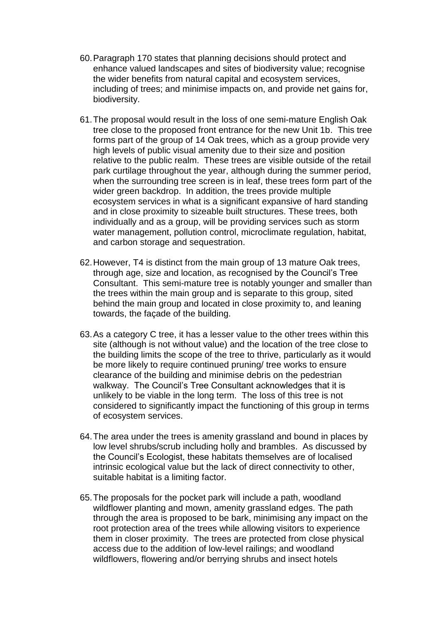- 60.Paragraph 170 states that planning decisions should protect and enhance valued landscapes and sites of biodiversity value; recognise the wider benefits from natural capital and ecosystem services, including of trees; and minimise impacts on, and provide net gains for, biodiversity.
- 61.The proposal would result in the loss of one semi-mature English Oak tree close to the proposed front entrance for the new Unit 1b. This tree forms part of the group of 14 Oak trees, which as a group provide very high levels of public visual amenity due to their size and position relative to the public realm. These trees are visible outside of the retail park curtilage throughout the year, although during the summer period, when the surrounding tree screen is in leaf, these trees form part of the wider green backdrop. In addition, the trees provide multiple ecosystem services in what is a significant expansive of hard standing and in close proximity to sizeable built structures. These trees, both individually and as a group, will be providing services such as storm water management, pollution control, microclimate regulation, habitat, and carbon storage and sequestration.
- 62.However, T4 is distinct from the main group of 13 mature Oak trees, through age, size and location, as recognised by the Council's Tree Consultant. This semi-mature tree is notably younger and smaller than the trees within the main group and is separate to this group, sited behind the main group and located in close proximity to, and leaning towards, the façade of the building.
- 63.As a category C tree, it has a lesser value to the other trees within this site (although is not without value) and the location of the tree close to the building limits the scope of the tree to thrive, particularly as it would be more likely to require continued pruning/ tree works to ensure clearance of the building and minimise debris on the pedestrian walkway. The Council's Tree Consultant acknowledges that it is unlikely to be viable in the long term. The loss of this tree is not considered to significantly impact the functioning of this group in terms of ecosystem services.
- 64.The area under the trees is amenity grassland and bound in places by low level shrubs/scrub including holly and brambles. As discussed by the Council's Ecologist, these habitats themselves are of localised intrinsic ecological value but the lack of direct connectivity to other, suitable habitat is a limiting factor.
- 65.The proposals for the pocket park will include a path, woodland wildflower planting and mown, amenity grassland edges. The path through the area is proposed to be bark, minimising any impact on the root protection area of the trees while allowing visitors to experience them in closer proximity. The trees are protected from close physical access due to the addition of low-level railings; and woodland wildflowers, flowering and/or berrying shrubs and insect hotels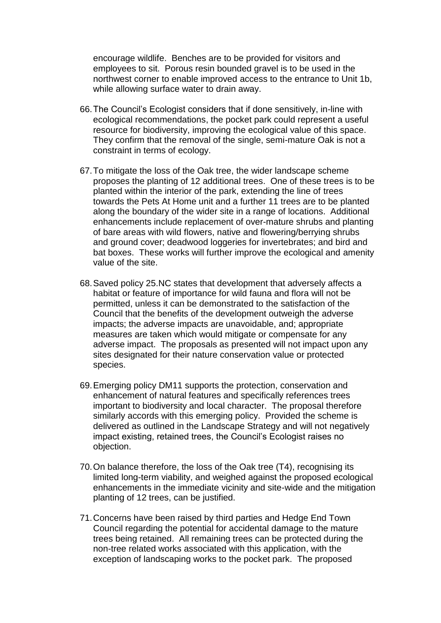encourage wildlife. Benches are to be provided for visitors and employees to sit. Porous resin bounded gravel is to be used in the northwest corner to enable improved access to the entrance to Unit 1b, while allowing surface water to drain away.

- 66.The Council's Ecologist considers that if done sensitively, in-line with ecological recommendations, the pocket park could represent a useful resource for biodiversity, improving the ecological value of this space. They confirm that the removal of the single, semi-mature Oak is not a constraint in terms of ecology.
- 67.To mitigate the loss of the Oak tree, the wider landscape scheme proposes the planting of 12 additional trees. One of these trees is to be planted within the interior of the park, extending the line of trees towards the Pets At Home unit and a further 11 trees are to be planted along the boundary of the wider site in a range of locations. Additional enhancements include replacement of over-mature shrubs and planting of bare areas with wild flowers, native and flowering/berrying shrubs and ground cover; deadwood loggeries for invertebrates; and bird and bat boxes. These works will further improve the ecological and amenity value of the site.
- 68.Saved policy 25.NC states that development that adversely affects a habitat or feature of importance for wild fauna and flora will not be permitted, unless it can be demonstrated to the satisfaction of the Council that the benefits of the development outweigh the adverse impacts; the adverse impacts are unavoidable, and; appropriate measures are taken which would mitigate or compensate for any adverse impact. The proposals as presented will not impact upon any sites designated for their nature conservation value or protected species.
- 69.Emerging policy DM11 supports the protection, conservation and enhancement of natural features and specifically references trees important to biodiversity and local character. The proposal therefore similarly accords with this emerging policy. Provided the scheme is delivered as outlined in the Landscape Strategy and will not negatively impact existing, retained trees, the Council's Ecologist raises no objection.
- 70.On balance therefore, the loss of the Oak tree (T4), recognising its limited long-term viability, and weighed against the proposed ecological enhancements in the immediate vicinity and site-wide and the mitigation planting of 12 trees, can be justified.
- 71.Concerns have been raised by third parties and Hedge End Town Council regarding the potential for accidental damage to the mature trees being retained. All remaining trees can be protected during the non-tree related works associated with this application, with the exception of landscaping works to the pocket park. The proposed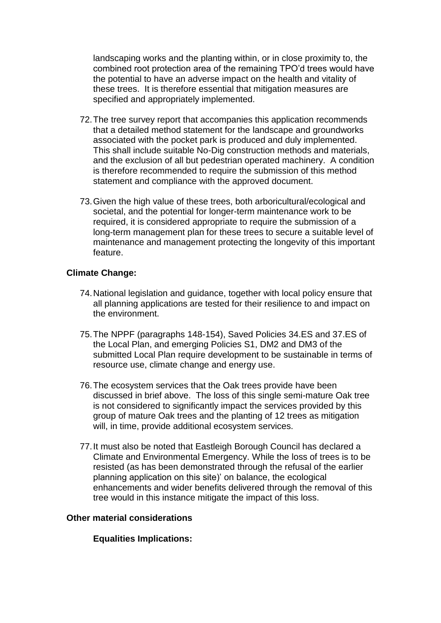landscaping works and the planting within, or in close proximity to, the combined root protection area of the remaining TPO'd trees would have the potential to have an adverse impact on the health and vitality of these trees. It is therefore essential that mitigation measures are specified and appropriately implemented.

- 72.The tree survey report that accompanies this application recommends that a detailed method statement for the landscape and groundworks associated with the pocket park is produced and duly implemented. This shall include suitable No-Dig construction methods and materials, and the exclusion of all but pedestrian operated machinery. A condition is therefore recommended to require the submission of this method statement and compliance with the approved document.
- 73.Given the high value of these trees, both arboricultural/ecological and societal, and the potential for longer-term maintenance work to be required, it is considered appropriate to require the submission of a long-term management plan for these trees to secure a suitable level of maintenance and management protecting the longevity of this important feature.

## **Climate Change:**

- 74.National legislation and guidance, together with local policy ensure that all planning applications are tested for their resilience to and impact on the environment.
- 75.The NPPF (paragraphs 148-154), Saved Policies 34.ES and 37.ES of the Local Plan, and emerging Policies S1, DM2 and DM3 of the submitted Local Plan require development to be sustainable in terms of resource use, climate change and energy use.
- 76.The ecosystem services that the Oak trees provide have been discussed in brief above. The loss of this single semi-mature Oak tree is not considered to significantly impact the services provided by this group of mature Oak trees and the planting of 12 trees as mitigation will, in time, provide additional ecosystem services.
- 77.It must also be noted that Eastleigh Borough Council has declared a Climate and Environmental Emergency. While the loss of trees is to be resisted (as has been demonstrated through the refusal of the earlier planning application on this site)' on balance, the ecological enhancements and wider benefits delivered through the removal of this tree would in this instance mitigate the impact of this loss.

## **Other material considerations**

**Equalities Implications:**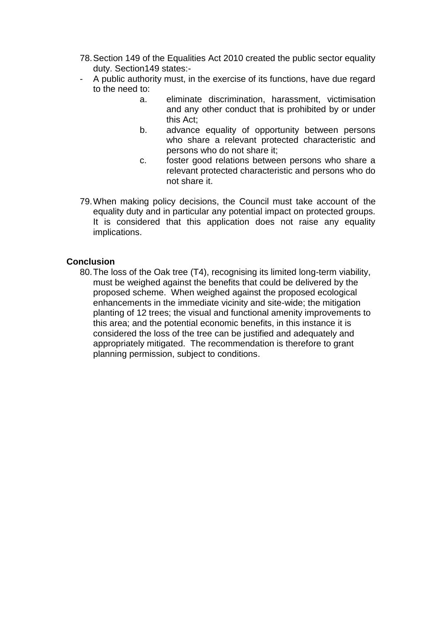- 78.Section 149 of the Equalities Act 2010 created the public sector equality duty. Section149 states:-
- A public authority must, in the exercise of its functions, have due regard to the need to:
	- a. eliminate discrimination, harassment, victimisation and any other conduct that is prohibited by or under this Act;
	- b. advance equality of opportunity between persons who share a relevant protected characteristic and persons who do not share it;
	- c. foster good relations between persons who share a relevant protected characteristic and persons who do not share it.
- 79.When making policy decisions, the Council must take account of the equality duty and in particular any potential impact on protected groups. It is considered that this application does not raise any equality implications.

#### **Conclusion**

80.The loss of the Oak tree (T4), recognising its limited long-term viability, must be weighed against the benefits that could be delivered by the proposed scheme. When weighed against the proposed ecological enhancements in the immediate vicinity and site-wide; the mitigation planting of 12 trees; the visual and functional amenity improvements to this area; and the potential economic benefits, in this instance it is considered the loss of the tree can be justified and adequately and appropriately mitigated. The recommendation is therefore to grant planning permission, subject to conditions.